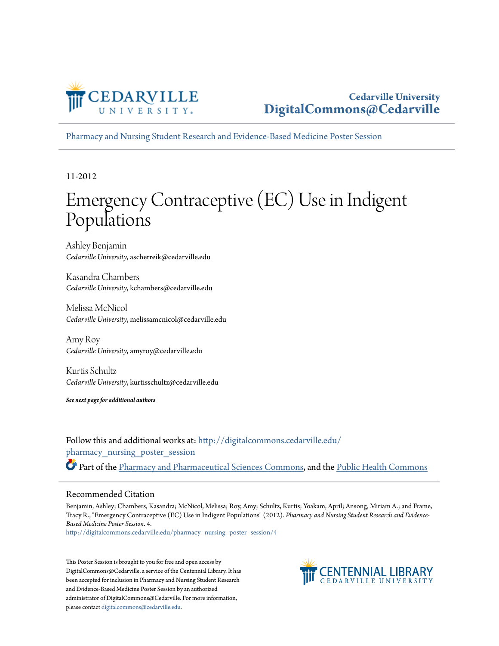

[Pharmacy and Nursing Student Research and Evidence-Based Medicine Poster Session](http://digitalcommons.cedarville.edu/pharmacy_nursing_poster_session?utm_source=digitalcommons.cedarville.edu%2Fpharmacy_nursing_poster_session%2F4&utm_medium=PDF&utm_campaign=PDFCoverPages)

11-2012

### Emergency Contraceptive (EC) Use in Indigent Populations

Ashley Benjamin *Cedarville University*, ascherreik@cedarville.edu

Kasandra Chambers *Cedarville University*, kchambers@cedarville.edu

Melissa McNicol *Cedarville University*, melissamcnicol@cedarville.edu

Amy Roy *Cedarville University*, amyroy@cedarville.edu

Kurtis Schultz *Cedarville University*, kurtisschultz@cedarville.edu

*See next page for additional authors*

Follow this and additional works at: [http://digitalcommons.cedarville.edu/](http://digitalcommons.cedarville.edu/pharmacy_nursing_poster_session?utm_source=digitalcommons.cedarville.edu%2Fpharmacy_nursing_poster_session%2F4&utm_medium=PDF&utm_campaign=PDFCoverPages) [pharmacy\\_nursing\\_poster\\_session](http://digitalcommons.cedarville.edu/pharmacy_nursing_poster_session?utm_source=digitalcommons.cedarville.edu%2Fpharmacy_nursing_poster_session%2F4&utm_medium=PDF&utm_campaign=PDFCoverPages) Part of the [Pharmacy and Pharmaceutical Sciences Commons](http://network.bepress.com/hgg/discipline/731?utm_source=digitalcommons.cedarville.edu%2Fpharmacy_nursing_poster_session%2F4&utm_medium=PDF&utm_campaign=PDFCoverPages), and the [Public Health Commons](http://network.bepress.com/hgg/discipline/738?utm_source=digitalcommons.cedarville.edu%2Fpharmacy_nursing_poster_session%2F4&utm_medium=PDF&utm_campaign=PDFCoverPages)

### Recommended Citation

Benjamin, Ashley; Chambers, Kasandra; McNicol, Melissa; Roy, Amy; Schultz, Kurtis; Yoakam, April; Ansong, Miriam A.; and Frame, Tracy R., "Emergency Contraceptive (EC) Use in Indigent Populations" (2012). *Pharmacy and Nursing Student Research and Evidence-Based Medicine Poster Session*. 4.

[http://digitalcommons.cedarville.edu/pharmacy\\_nursing\\_poster\\_session/4](http://digitalcommons.cedarville.edu/pharmacy_nursing_poster_session/4?utm_source=digitalcommons.cedarville.edu%2Fpharmacy_nursing_poster_session%2F4&utm_medium=PDF&utm_campaign=PDFCoverPages)

This Poster Session is brought to you for free and open access by DigitalCommons@Cedarville, a service of the Centennial Library. It has been accepted for inclusion in Pharmacy and Nursing Student Research and Evidence-Based Medicine Poster Session by an authorized administrator of DigitalCommons@Cedarville. For more information, please contact [digitalcommons@cedarville.edu.](mailto:digitalcommons@cedarville.edu)

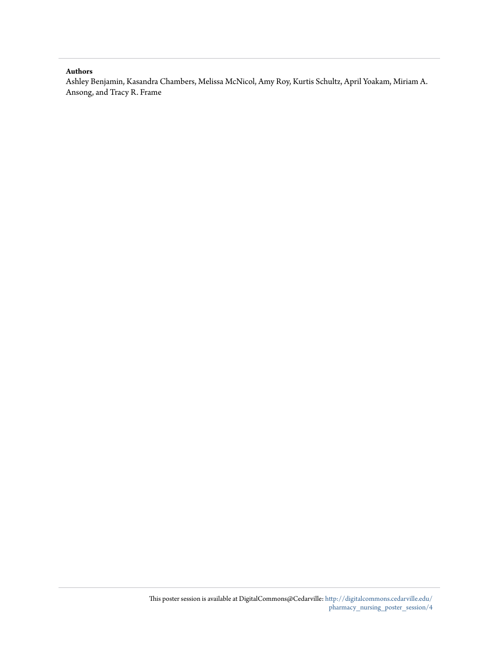### **Authors**

Ashley Benjamin, Kasandra Chambers, Melissa McNicol, Amy Roy, Kurtis Schultz, April Yoakam, Miriam A. Ansong, and Tracy R. Frame